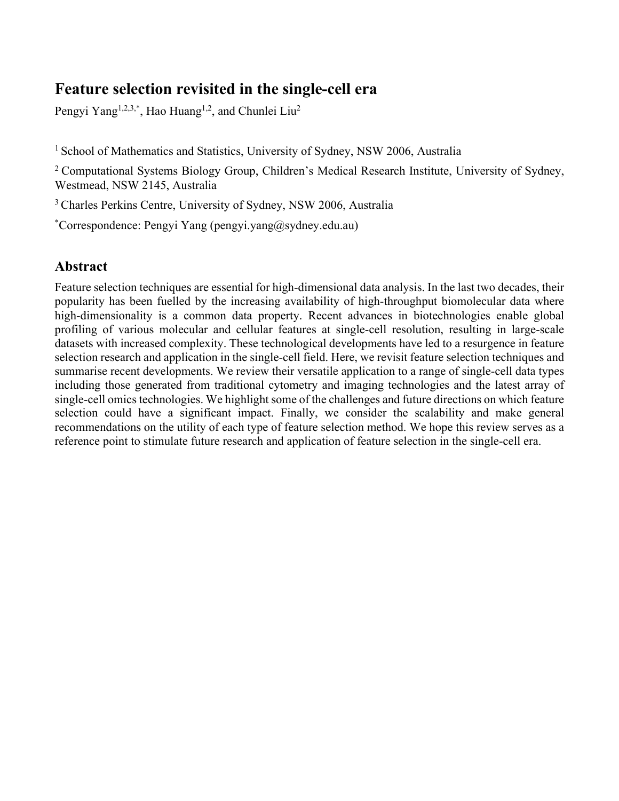# **Feature selection revisited in the single-cell era**

Pengyi Yang<sup>1,2,3,\*</sup>, Hao Huang<sup>1,2</sup>, and Chunlei Liu<sup>2</sup>

<sup>1</sup> School of Mathematics and Statistics, University of Sydney, NSW 2006, Australia

<sup>2</sup> Computational Systems Biology Group, Children's Medical Research Institute, University of Sydney, Westmead, NSW 2145, Australia

3 Charles Perkins Centre, University of Sydney, NSW 2006, Australia

\* Correspondence: Pengyi Yang (pengyi.yang@sydney.edu.au)

## **Abstract**

Feature selection techniques are essential for high-dimensional data analysis. In the last two decades, their popularity has been fuelled by the increasing availability of high-throughput biomolecular data where high-dimensionality is a common data property. Recent advances in biotechnologies enable global profiling of various molecular and cellular features at single-cell resolution, resulting in large-scale datasets with increased complexity. These technological developments have led to a resurgence in feature selection research and application in the single-cell field. Here, we revisit feature selection techniques and summarise recent developments. We review their versatile application to a range of single-cell data types including those generated from traditional cytometry and imaging technologies and the latest array of single-cell omics technologies. We highlight some of the challenges and future directions on which feature selection could have a significant impact. Finally, we consider the scalability and make general recommendations on the utility of each type of feature selection method. We hope this review serves as a reference point to stimulate future research and application of feature selection in the single-cell era.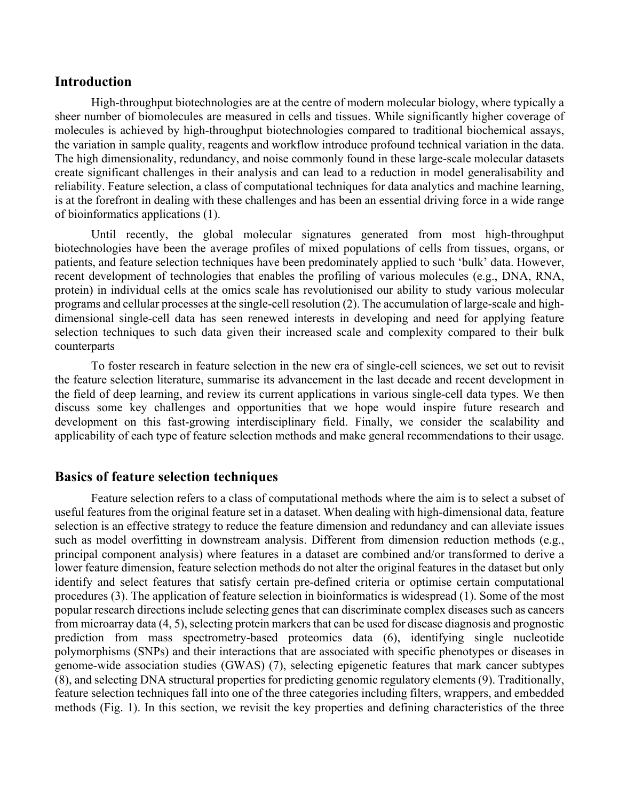## **Introduction**

High-throughput biotechnologies are at the centre of modern molecular biology, where typically a sheer number of biomolecules are measured in cells and tissues. While significantly higher coverage of molecules is achieved by high-throughput biotechnologies compared to traditional biochemical assays, the variation in sample quality, reagents and workflow introduce profound technical variation in the data. The high dimensionality, redundancy, and noise commonly found in these large-scale molecular datasets create significant challenges in their analysis and can lead to a reduction in model generalisability and reliability. Feature selection, a class of computational techniques for data analytics and machine learning, is at the forefront in dealing with these challenges and has been an essential driving force in a wide range of bioinformatics applications (1).

Until recently, the global molecular signatures generated from most high-throughput biotechnologies have been the average profiles of mixed populations of cells from tissues, organs, or patients, and feature selection techniques have been predominately applied to such 'bulk' data. However, recent development of technologies that enables the profiling of various molecules (e.g., DNA, RNA, protein) in individual cells at the omics scale has revolutionised our ability to study various molecular programs and cellular processes at the single-cell resolution (2). The accumulation of large-scale and highdimensional single-cell data has seen renewed interests in developing and need for applying feature selection techniques to such data given their increased scale and complexity compared to their bulk counterparts

To foster research in feature selection in the new era of single-cell sciences, we set out to revisit the feature selection literature, summarise its advancement in the last decade and recent development in the field of deep learning, and review its current applications in various single-cell data types. We then discuss some key challenges and opportunities that we hope would inspire future research and development on this fast-growing interdisciplinary field. Finally, we consider the scalability and applicability of each type of feature selection methods and make general recommendations to their usage.

## **Basics of feature selection techniques**

Feature selection refers to a class of computational methods where the aim is to select a subset of useful features from the original feature set in a dataset. When dealing with high-dimensional data, feature selection is an effective strategy to reduce the feature dimension and redundancy and can alleviate issues such as model overfitting in downstream analysis. Different from dimension reduction methods (e.g., principal component analysis) where features in a dataset are combined and/or transformed to derive a lower feature dimension, feature selection methods do not alter the original features in the dataset but only identify and select features that satisfy certain pre-defined criteria or optimise certain computational procedures (3). The application of feature selection in bioinformatics is widespread (1). Some of the most popular research directions include selecting genes that can discriminate complex diseases such as cancers from microarray data (4, 5), selecting protein markers that can be used for disease diagnosis and prognostic prediction from mass spectrometry-based proteomics data (6), identifying single nucleotide polymorphisms (SNPs) and their interactions that are associated with specific phenotypes or diseases in genome-wide association studies (GWAS) (7), selecting epigenetic features that mark cancer subtypes (8), and selecting DNA structural properties for predicting genomic regulatory elements (9). Traditionally, feature selection techniques fall into one of the three categories including filters, wrappers, and embedded methods (Fig. 1). In this section, we revisit the key properties and defining characteristics of the three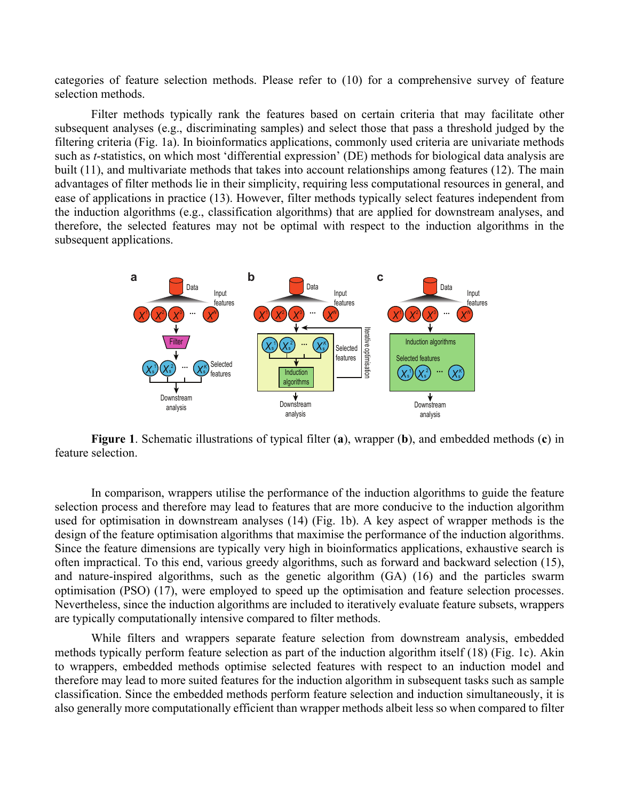categories of feature selection methods. Please refer to (10) for a comprehensive survey of feature selection methods.

Filter methods typically rank the features based on certain criteria that may facilitate other subsequent analyses (e.g., discriminating samples) and select those that pass a threshold judged by the filtering criteria (Fig. 1a). In bioinformatics applications, commonly used criteria are univariate methods such as *t*-statistics, on which most 'differential expression' (DE) methods for biological data analysis are built (11), and multivariate methods that takes into account relationships among features (12). The main advantages of filter methods lie in their simplicity, requiring less computational resources in general, and ease of applications in practice (13). However, filter methods typically select features independent from the induction algorithms (e.g., classification algorithms) that are applied for downstream analyses, and therefore, the selected features may not be optimal with respect to the induction algorithms in the subsequent applications.



**Figure 1**. Schematic illustrations of typical filter (**a**), wrapper (**b**), and embedded methods (**c**) in feature selection.

In comparison, wrappers utilise the performance of the induction algorithms to guide the feature selection process and therefore may lead to features that are more conducive to the induction algorithm used for optimisation in downstream analyses (14) (Fig. 1b). A key aspect of wrapper methods is the design of the feature optimisation algorithms that maximise the performance of the induction algorithms. Since the feature dimensions are typically very high in bioinformatics applications, exhaustive search is often impractical. To this end, various greedy algorithms, such as forward and backward selection (15), and nature-inspired algorithms, such as the genetic algorithm (GA) (16) and the particles swarm optimisation (PSO) (17), were employed to speed up the optimisation and feature selection processes. Nevertheless, since the induction algorithms are included to iteratively evaluate feature subsets, wrappers are typically computationally intensive compared to filter methods.

While filters and wrappers separate feature selection from downstream analysis, embedded methods typically perform feature selection as part of the induction algorithm itself (18) (Fig. 1c). Akin to wrappers, embedded methods optimise selected features with respect to an induction model and therefore may lead to more suited features for the induction algorithm in subsequent tasks such as sample classification. Since the embedded methods perform feature selection and induction simultaneously, it is also generally more computationally efficient than wrapper methods albeit less so when compared to filter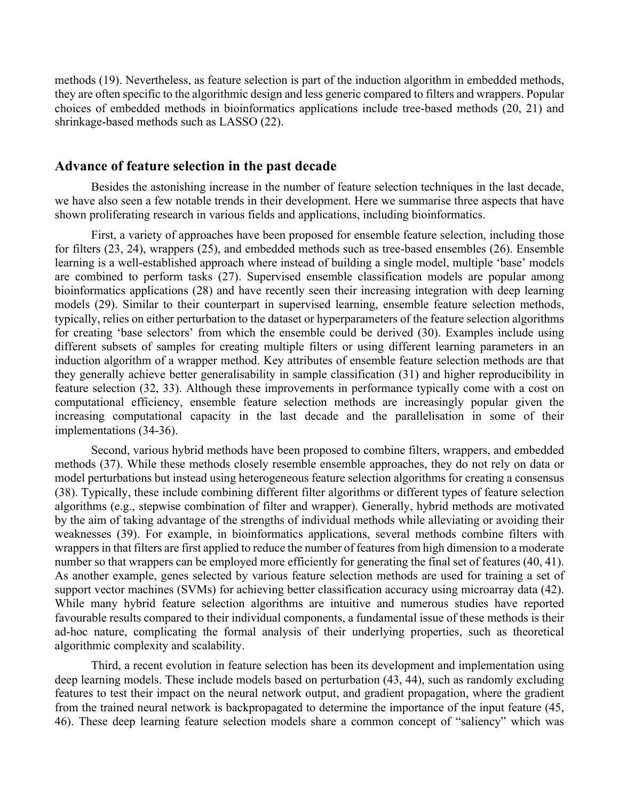methods (19). Nevertheless, as feature selection is part of the induction algorithm in embedded methods, they are often specific to the algorithmic design and less generic compared to filters and wrappers. Popular choices of embedded methods in bioinformatics applications include tree-based methods (20, 21) and shrinkage-based methods such as LASSO (22).

### **Advance of feature selection in the past decade**

Besides the astonishing increase in the number of feature selection techniques in the last decade, we have also seen a few notable trends in their development. Here we summarise three aspects that have shown proliferating research in various fields and applications, including bioinformatics.

First, a variety of approaches have been proposed for ensemble feature selection, including those for filters (23, 24), wrappers (25), and embedded methods such as tree-based ensembles (26). Ensemble learning is a well-established approach where instead of building a single model, multiple 'base' models are combined to perform tasks (27). Supervised ensemble classification models are popular among bioinformatics applications (28) and have recently seen their increasing integration with deep learning models (29). Similar to their counterpart in supervised learning, ensemble feature selection methods, typically, relies on either perturbation to the dataset or hyperparameters of the feature selection algorithms for creating 'base selectors' from which the ensemble could be derived (30). Examples include using different subsets of samples for creating multiple filters or using different learning parameters in an induction algorithm of a wrapper method. Key attributes of ensemble feature selection methods are that they generally achieve better generalisability in sample classification (31) and higher reproducibility in feature selection (32, 33). Although these improvements in performance typically come with a cost on computational efficiency, ensemble feature selection methods are increasingly popular given the increasing computational capacity in the last decade and the parallelisation in some of their implementations (34-36).

Second, various hybrid methods have been proposed to combine filters, wrappers, and embedded methods (37). While these methods closely resemble ensemble approaches, they do not rely on data or model perturbations but instead using heterogeneous feature selection algorithms for creating a consensus (38). Typically, these include combining different filter algorithms or different types of feature selection algorithms (e.g., stepwise combination of filter and wrapper). Generally, hybrid methods are motivated by the aim of taking advantage of the strengths of individual methods while alleviating or avoiding their weaknesses (39). For example, in bioinformatics applications, several methods combine filters with wrappers in that filters are first applied to reduce the number of features from high dimension to a moderate number so that wrappers can be employed more efficiently for generating the final set of features (40, 41). As another example, genes selected by various feature selection methods are used for training a set of support vector machines (SVMs) for achieving better classification accuracy using microarray data (42). While many hybrid feature selection algorithms are intuitive and numerous studies have reported favourable results compared to their individual components, a fundamental issue of these methods is their ad-hoc nature, complicating the formal analysis of their underlying properties, such as theoretical algorithmic complexity and scalability.

Third, a recent evolution in feature selection has been its development and implementation using deep learning models. These include models based on perturbation (43, 44), such as randomly excluding features to test their impact on the neural network output, and gradient propagation, where the gradient from the trained neural network is backpropagated to determine the importance of the input feature (45, 46). These deep learning feature selection models share a common concept of "saliency" which was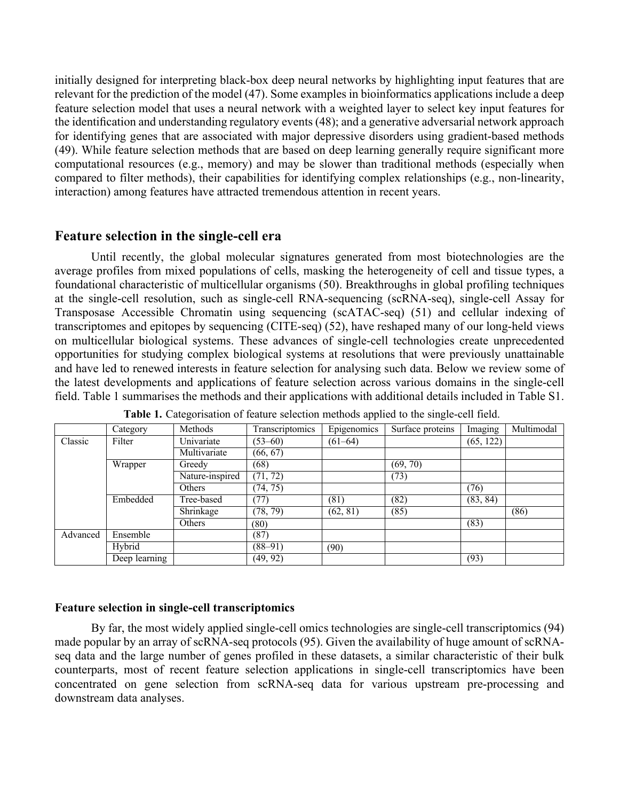initially designed for interpreting black-box deep neural networks by highlighting input features that are relevant for the prediction of the model (47). Some examples in bioinformatics applications include a deep feature selection model that uses a neural network with a weighted layer to select key input features for the identification and understanding regulatory events (48); and a generative adversarial network approach for identifying genes that are associated with major depressive disorders using gradient-based methods (49). While feature selection methods that are based on deep learning generally require significant more computational resources (e.g., memory) and may be slower than traditional methods (especially when compared to filter methods), their capabilities for identifying complex relationships (e.g., non-linearity, interaction) among features have attracted tremendous attention in recent years.

## **Feature selection in the single-cell era**

Until recently, the global molecular signatures generated from most biotechnologies are the average profiles from mixed populations of cells, masking the heterogeneity of cell and tissue types, a foundational characteristic of multicellular organisms (50). Breakthroughs in global profiling techniques at the single-cell resolution, such as single-cell RNA-sequencing (scRNA-seq), single-cell Assay for Transposase Accessible Chromatin using sequencing (scATAC-seq) (51) and cellular indexing of transcriptomes and epitopes by sequencing (CITE-seq) (52), have reshaped many of our long-held views on multicellular biological systems. These advances of single-cell technologies create unprecedented opportunities for studying complex biological systems at resolutions that were previously unattainable and have led to renewed interests in feature selection for analysing such data. Below we review some of the latest developments and applications of feature selection across various domains in the single-cell field. Table 1 summarises the methods and their applications with additional details included in Table S1.

|          | Category      | Methods         | Transcriptomics | Epigenomics | Surface proteins | Imaging   | Multimodal |
|----------|---------------|-----------------|-----------------|-------------|------------------|-----------|------------|
| Classic  | Filter        | Univariate      | $(53 - 60)$     | $(61-64)$   |                  | (65, 122) |            |
|          |               | Multivariate    | (66, 67)        |             |                  |           |            |
|          | Wrapper       | Greedy          | (68)            |             | (69, 70)         |           |            |
|          |               | Nature-inspired | (71, 72)        |             | (73)             |           |            |
|          |               | Others          | (74, 75)        |             |                  | (76)      |            |
|          | Embedded      | Tree-based      | (77)            | (81)        | (82)             | (83, 84)  |            |
|          |               | Shrinkage       | (78, 79)        | (62, 81)    | (85)             |           | (86)       |
|          |               | Others          | (80)            |             |                  | (83)      |            |
| Advanced | Ensemble      |                 | (87)            |             |                  |           |            |
|          | Hybrid        |                 | $(88 - 91)$     | (90)        |                  |           |            |
|          | Deep learning |                 | (49, 92)        |             |                  | (93)      |            |

**Table 1.** Categorisation of feature selection methods applied to the single-cell field.

#### **Feature selection in single-cell transcriptomics**

By far, the most widely applied single-cell omics technologies are single-cell transcriptomics (94) made popular by an array of scRNA-seq protocols (95). Given the availability of huge amount of scRNAseq data and the large number of genes profiled in these datasets, a similar characteristic of their bulk counterparts, most of recent feature selection applications in single-cell transcriptomics have been concentrated on gene selection from scRNA-seq data for various upstream pre-processing and downstream data analyses.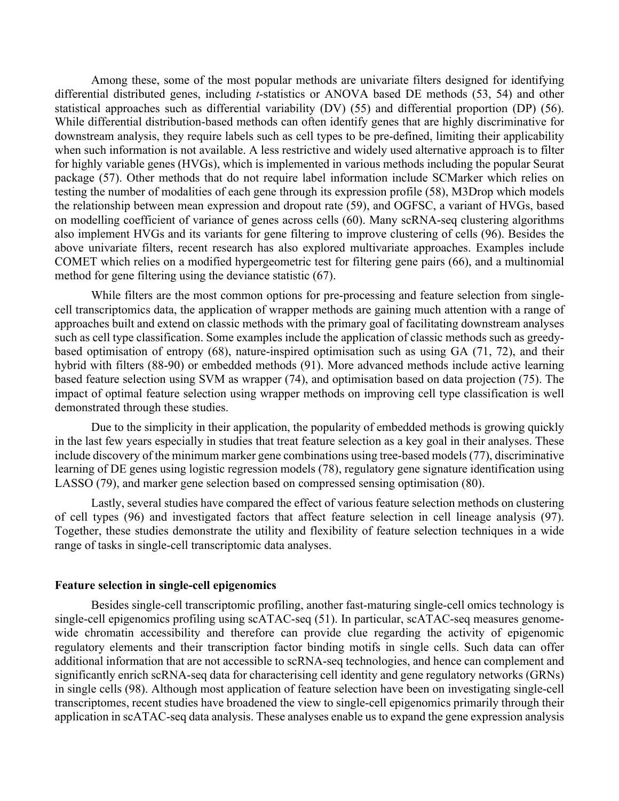Among these, some of the most popular methods are univariate filters designed for identifying differential distributed genes, including *t*-statistics or ANOVA based DE methods (53, 54) and other statistical approaches such as differential variability (DV) (55) and differential proportion (DP) (56). While differential distribution-based methods can often identify genes that are highly discriminative for downstream analysis, they require labels such as cell types to be pre-defined, limiting their applicability when such information is not available. A less restrictive and widely used alternative approach is to filter for highly variable genes (HVGs), which is implemented in various methods including the popular Seurat package (57). Other methods that do not require label information include SCMarker which relies on testing the number of modalities of each gene through its expression profile (58), M3Drop which models the relationship between mean expression and dropout rate (59), and OGFSC, a variant of HVGs, based on modelling coefficient of variance of genes across cells (60). Many scRNA-seq clustering algorithms also implement HVGs and its variants for gene filtering to improve clustering of cells (96). Besides the above univariate filters, recent research has also explored multivariate approaches. Examples include COMET which relies on a modified hypergeometric test for filtering gene pairs (66), and a multinomial method for gene filtering using the deviance statistic (67).

While filters are the most common options for pre-processing and feature selection from singlecell transcriptomics data, the application of wrapper methods are gaining much attention with a range of approaches built and extend on classic methods with the primary goal of facilitating downstream analyses such as cell type classification. Some examples include the application of classic methods such as greedybased optimisation of entropy (68), nature-inspired optimisation such as using GA (71, 72), and their hybrid with filters (88-90) or embedded methods (91). More advanced methods include active learning based feature selection using SVM as wrapper (74), and optimisation based on data projection (75). The impact of optimal feature selection using wrapper methods on improving cell type classification is well demonstrated through these studies.

Due to the simplicity in their application, the popularity of embedded methods is growing quickly in the last few years especially in studies that treat feature selection as a key goal in their analyses. These include discovery of the minimum marker gene combinations using tree-based models (77), discriminative learning of DE genes using logistic regression models (78), regulatory gene signature identification using LASSO (79), and marker gene selection based on compressed sensing optimisation (80).

Lastly, several studies have compared the effect of various feature selection methods on clustering of cell types (96) and investigated factors that affect feature selection in cell lineage analysis (97). Together, these studies demonstrate the utility and flexibility of feature selection techniques in a wide range of tasks in single-cell transcriptomic data analyses.

#### **Feature selection in single-cell epigenomics**

Besides single-cell transcriptomic profiling, another fast-maturing single-cell omics technology is single-cell epigenomics profiling using scATAC-seq (51). In particular, scATAC-seq measures genomewide chromatin accessibility and therefore can provide clue regarding the activity of epigenomic regulatory elements and their transcription factor binding motifs in single cells. Such data can offer additional information that are not accessible to scRNA-seq technologies, and hence can complement and significantly enrich scRNA-seq data for characterising cell identity and gene regulatory networks (GRNs) in single cells (98). Although most application of feature selection have been on investigating single-cell transcriptomes, recent studies have broadened the view to single-cell epigenomics primarily through their application in scATAC-seq data analysis. These analyses enable us to expand the gene expression analysis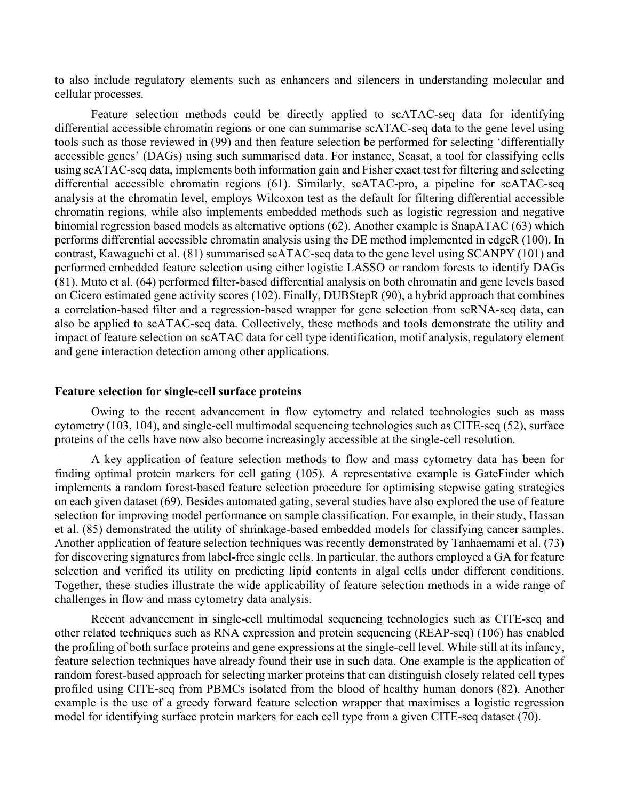to also include regulatory elements such as enhancers and silencers in understanding molecular and cellular processes.

Feature selection methods could be directly applied to scATAC-seq data for identifying differential accessible chromatin regions or one can summarise scATAC-seq data to the gene level using tools such as those reviewed in (99) and then feature selection be performed for selecting 'differentially accessible genes' (DAGs) using such summarised data. For instance, Scasat, a tool for classifying cells using scATAC-seq data, implements both information gain and Fisher exact test for filtering and selecting differential accessible chromatin regions (61). Similarly, scATAC-pro, a pipeline for scATAC-seq analysis at the chromatin level, employs Wilcoxon test as the default for filtering differential accessible chromatin regions, while also implements embedded methods such as logistic regression and negative binomial regression based models as alternative options (62). Another example is SnapATAC (63) which performs differential accessible chromatin analysis using the DE method implemented in edgeR (100). In contrast, Kawaguchi et al. (81) summarised scATAC-seq data to the gene level using SCANPY (101) and performed embedded feature selection using either logistic LASSO or random forests to identify DAGs (81). Muto et al. (64) performed filter-based differential analysis on both chromatin and gene levels based on Cicero estimated gene activity scores (102). Finally, DUBStepR (90), a hybrid approach that combines a correlation-based filter and a regression-based wrapper for gene selection from scRNA-seq data, can also be applied to scATAC-seq data. Collectively, these methods and tools demonstrate the utility and impact of feature selection on scATAC data for cell type identification, motif analysis, regulatory element and gene interaction detection among other applications.

#### **Feature selection for single-cell surface proteins**

Owing to the recent advancement in flow cytometry and related technologies such as mass cytometry (103, 104), and single-cell multimodal sequencing technologies such as CITE-seq (52), surface proteins of the cells have now also become increasingly accessible at the single-cell resolution.

A key application of feature selection methods to flow and mass cytometry data has been for finding optimal protein markers for cell gating (105). A representative example is GateFinder which implements a random forest-based feature selection procedure for optimising stepwise gating strategies on each given dataset (69). Besides automated gating, several studies have also explored the use of feature selection for improving model performance on sample classification. For example, in their study, Hassan et al. (85) demonstrated the utility of shrinkage-based embedded models for classifying cancer samples. Another application of feature selection techniques was recently demonstrated by Tanhaemami et al. (73) for discovering signatures from label-free single cells. In particular, the authors employed a GA for feature selection and verified its utility on predicting lipid contents in algal cells under different conditions. Together, these studies illustrate the wide applicability of feature selection methods in a wide range of challenges in flow and mass cytometry data analysis.

Recent advancement in single-cell multimodal sequencing technologies such as CITE-seq and other related techniques such as RNA expression and protein sequencing (REAP-seq) (106) has enabled the profiling of both surface proteins and gene expressions at the single-cell level. While still at its infancy, feature selection techniques have already found their use in such data. One example is the application of random forest-based approach for selecting marker proteins that can distinguish closely related cell types profiled using CITE-seq from PBMCs isolated from the blood of healthy human donors (82). Another example is the use of a greedy forward feature selection wrapper that maximises a logistic regression model for identifying surface protein markers for each cell type from a given CITE-seq dataset (70).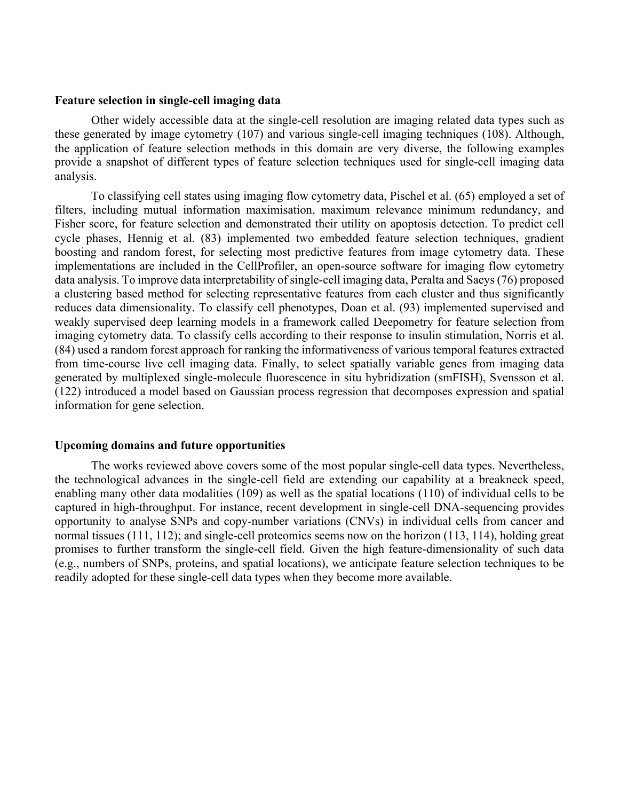#### **Feature selection in single-cell imaging data**

Other widely accessible data at the single-cell resolution are imaging related data types such as these generated by image cytometry (107) and various single-cell imaging techniques (108). Although, the application of feature selection methods in this domain are very diverse, the following examples provide a snapshot of different types of feature selection techniques used for single-cell imaging data analysis.

To classifying cell states using imaging flow cytometry data, Pischel et al. (65) employed a set of filters, including mutual information maximisation, maximum relevance minimum redundancy, and Fisher score, for feature selection and demonstrated their utility on apoptosis detection. To predict cell cycle phases, Hennig et al. (83) implemented two embedded feature selection techniques, gradient boosting and random forest, for selecting most predictive features from image cytometry data. These implementations are included in the CellProfiler, an open-source software for imaging flow cytometry data analysis. To improve data interpretability of single-cell imaging data, Peralta and Saeys (76) proposed a clustering based method for selecting representative features from each cluster and thus significantly reduces data dimensionality. To classify cell phenotypes, Doan et al. (93) implemented supervised and weakly supervised deep learning models in a framework called Deepometry for feature selection from imaging cytometry data. To classify cells according to their response to insulin stimulation, Norris et al. (84) used a random forest approach for ranking the informativeness of various temporal features extracted from time-course live cell imaging data. Finally, to select spatially variable genes from imaging data generated by multiplexed single-molecule fluorescence in situ hybridization (smFISH), Svensson et al. (122) introduced a model based on Gaussian process regression that decomposes expression and spatial information for gene selection.

#### **Upcoming domains and future opportunities**

The works reviewed above covers some of the most popular single-cell data types. Nevertheless, the technological advances in the single-cell field are extending our capability at a breakneck speed, enabling many other data modalities (109) as well as the spatial locations (110) of individual cells to be captured in high-throughput. For instance, recent development in single-cell DNA-sequencing provides opportunity to analyse SNPs and copy-number variations (CNVs) in individual cells from cancer and normal tissues (111, 112); and single-cell proteomics seems now on the horizon (113, 114), holding great promises to further transform the single-cell field. Given the high feature-dimensionality of such data (e.g., numbers of SNPs, proteins, and spatial locations), we anticipate feature selection techniques to be readily adopted for these single-cell data types when they become more available.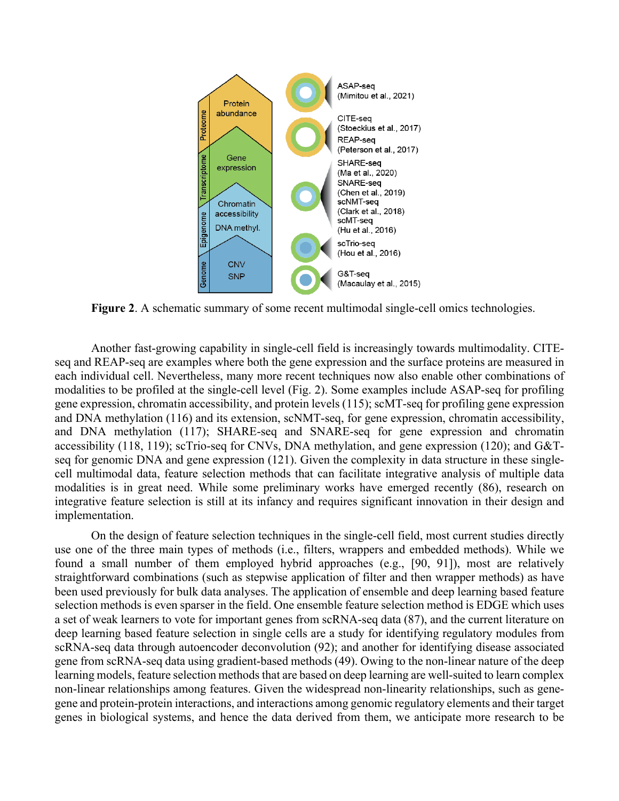

**Figure 2**. A schematic summary of some recent multimodal single-cell omics technologies.

Another fast-growing capability in single-cell field is increasingly towards multimodality. CITEseq and REAP-seq are examples where both the gene expression and the surface proteins are measured in each individual cell. Nevertheless, many more recent techniques now also enable other combinations of modalities to be profiled at the single-cell level (Fig. 2). Some examples include ASAP-seq for profiling gene expression, chromatin accessibility, and protein levels (115); scMT-seq for profiling gene expression and DNA methylation (116) and its extension, scNMT-seq, for gene expression, chromatin accessibility, and DNA methylation (117); SHARE-seq and SNARE-seq for gene expression and chromatin accessibility (118, 119); scTrio-seq for CNVs, DNA methylation, and gene expression (120); and G&Tseq for genomic DNA and gene expression (121). Given the complexity in data structure in these singlecell multimodal data, feature selection methods that can facilitate integrative analysis of multiple data modalities is in great need. While some preliminary works have emerged recently (86), research on integrative feature selection is still at its infancy and requires significant innovation in their design and implementation.

On the design of feature selection techniques in the single-cell field, most current studies directly use one of the three main types of methods (i.e., filters, wrappers and embedded methods). While we found a small number of them employed hybrid approaches (e.g., [90, 91]), most are relatively straightforward combinations (such as stepwise application of filter and then wrapper methods) as have been used previously for bulk data analyses. The application of ensemble and deep learning based feature selection methods is even sparser in the field. One ensemble feature selection method is EDGE which uses a set of weak learners to vote for important genes from scRNA-seq data (87), and the current literature on deep learning based feature selection in single cells are a study for identifying regulatory modules from scRNA-seq data through autoencoder deconvolution (92); and another for identifying disease associated gene from scRNA-seq data using gradient-based methods (49). Owing to the non-linear nature of the deep learning models, feature selection methods that are based on deep learning are well-suited to learn complex non-linear relationships among features. Given the widespread non-linearity relationships, such as genegene and protein-protein interactions, and interactions among genomic regulatory elements and their target genes in biological systems, and hence the data derived from them, we anticipate more research to be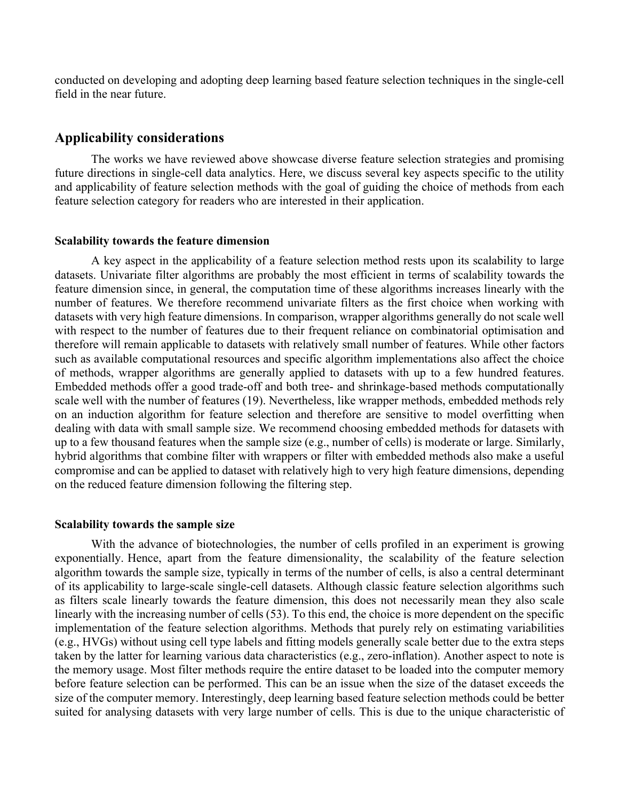conducted on developing and adopting deep learning based feature selection techniques in the single-cell field in the near future.

### **Applicability considerations**

The works we have reviewed above showcase diverse feature selection strategies and promising future directions in single-cell data analytics. Here, we discuss several key aspects specific to the utility and applicability of feature selection methods with the goal of guiding the choice of methods from each feature selection category for readers who are interested in their application.

#### **Scalability towards the feature dimension**

A key aspect in the applicability of a feature selection method rests upon its scalability to large datasets. Univariate filter algorithms are probably the most efficient in terms of scalability towards the feature dimension since, in general, the computation time of these algorithms increases linearly with the number of features. We therefore recommend univariate filters as the first choice when working with datasets with very high feature dimensions. In comparison, wrapper algorithms generally do not scale well with respect to the number of features due to their frequent reliance on combinatorial optimisation and therefore will remain applicable to datasets with relatively small number of features. While other factors such as available computational resources and specific algorithm implementations also affect the choice of methods, wrapper algorithms are generally applied to datasets with up to a few hundred features. Embedded methods offer a good trade-off and both tree- and shrinkage-based methods computationally scale well with the number of features (19). Nevertheless, like wrapper methods, embedded methods rely on an induction algorithm for feature selection and therefore are sensitive to model overfitting when dealing with data with small sample size. We recommend choosing embedded methods for datasets with up to a few thousand features when the sample size (e.g., number of cells) is moderate or large. Similarly, hybrid algorithms that combine filter with wrappers or filter with embedded methods also make a useful compromise and can be applied to dataset with relatively high to very high feature dimensions, depending on the reduced feature dimension following the filtering step.

#### **Scalability towards the sample size**

With the advance of biotechnologies, the number of cells profiled in an experiment is growing exponentially. Hence, apart from the feature dimensionality, the scalability of the feature selection algorithm towards the sample size, typically in terms of the number of cells, is also a central determinant of its applicability to large-scale single-cell datasets. Although classic feature selection algorithms such as filters scale linearly towards the feature dimension, this does not necessarily mean they also scale linearly with the increasing number of cells (53). To this end, the choice is more dependent on the specific implementation of the feature selection algorithms. Methods that purely rely on estimating variabilities (e.g., HVGs) without using cell type labels and fitting models generally scale better due to the extra steps taken by the latter for learning various data characteristics (e.g., zero-inflation). Another aspect to note is the memory usage. Most filter methods require the entire dataset to be loaded into the computer memory before feature selection can be performed. This can be an issue when the size of the dataset exceeds the size of the computer memory. Interestingly, deep learning based feature selection methods could be better suited for analysing datasets with very large number of cells. This is due to the unique characteristic of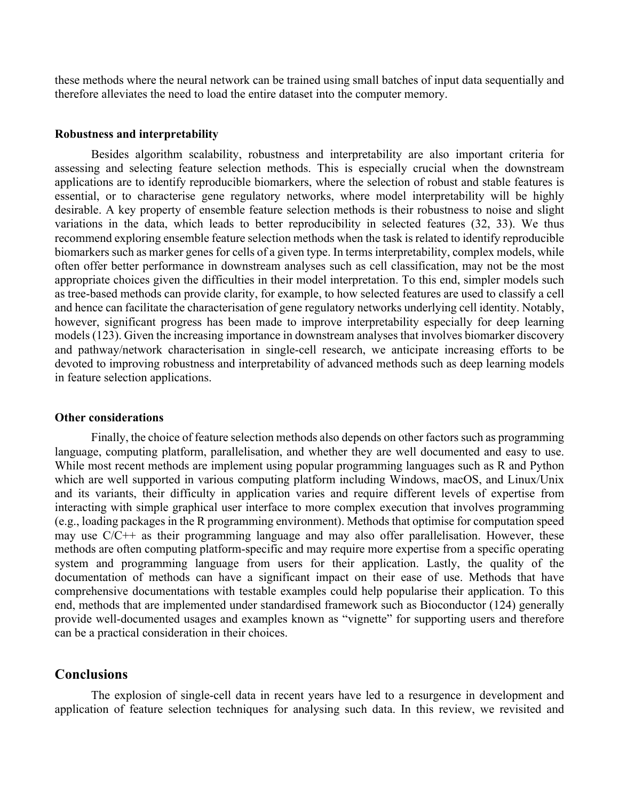these methods where the neural network can be trained using small batches of input data sequentially and therefore alleviates the need to load the entire dataset into the computer memory.

#### **Robustness and interpretability**

Besides algorithm scalability, robustness and interpretability are also important criteria for assessing and selecting feature selection methods. This is especially crucial when the downstream applications are to identify reproducible biomarkers, where the selection of robust and stable features is essential, or to characterise gene regulatory networks, where model interpretability will be highly desirable. A key property of ensemble feature selection methods is their robustness to noise and slight variations in the data, which leads to better reproducibility in selected features (32, 33). We thus recommend exploring ensemble feature selection methods when the task is related to identify reproducible biomarkers such as marker genes for cells of a given type. In terms interpretability, complex models, while often offer better performance in downstream analyses such as cell classification, may not be the most appropriate choices given the difficulties in their model interpretation. To this end, simpler models such as tree-based methods can provide clarity, for example, to how selected features are used to classify a cell and hence can facilitate the characterisation of gene regulatory networks underlying cell identity. Notably, however, significant progress has been made to improve interpretability especially for deep learning models (123). Given the increasing importance in downstream analyses that involves biomarker discovery and pathway/network characterisation in single-cell research, we anticipate increasing efforts to be devoted to improving robustness and interpretability of advanced methods such as deep learning models in feature selection applications.

#### **Other considerations**

Finally, the choice of feature selection methods also depends on other factors such as programming language, computing platform, parallelisation, and whether they are well documented and easy to use. While most recent methods are implement using popular programming languages such as R and Python which are well supported in various computing platform including Windows, macOS, and Linux/Unix and its variants, their difficulty in application varies and require different levels of expertise from interacting with simple graphical user interface to more complex execution that involves programming (e.g., loading packages in the R programming environment). Methods that optimise for computation speed may use C/C++ as their programming language and may also offer parallelisation. However, these methods are often computing platform-specific and may require more expertise from a specific operating system and programming language from users for their application. Lastly, the quality of the documentation of methods can have a significant impact on their ease of use. Methods that have comprehensive documentations with testable examples could help popularise their application. To this end, methods that are implemented under standardised framework such as Bioconductor (124) generally provide well-documented usages and examples known as "vignette" for supporting users and therefore can be a practical consideration in their choices.

## **Conclusions**

The explosion of single-cell data in recent years have led to a resurgence in development and application of feature selection techniques for analysing such data. In this review, we revisited and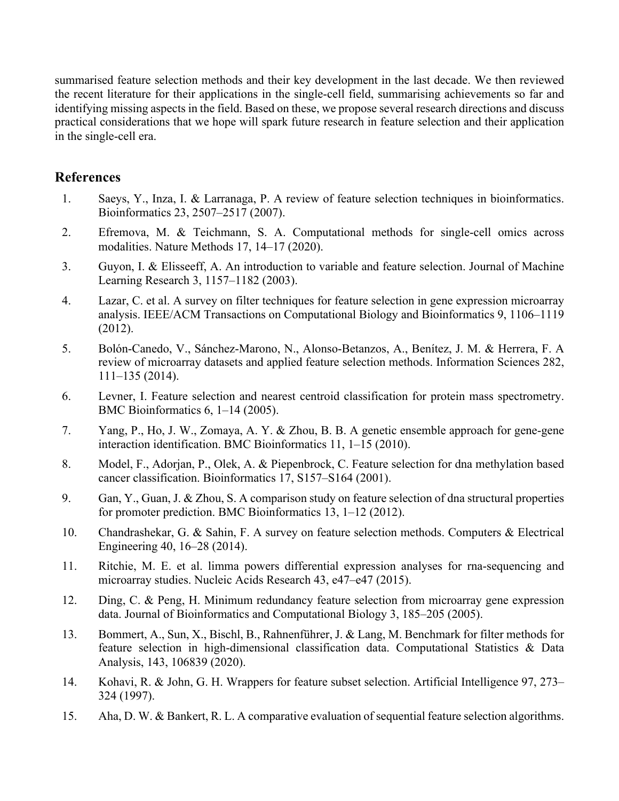summarised feature selection methods and their key development in the last decade. We then reviewed the recent literature for their applications in the single-cell field, summarising achievements so far and identifying missing aspects in the field. Based on these, we propose several research directions and discuss practical considerations that we hope will spark future research in feature selection and their application in the single-cell era.

## **References**

- 1. Saeys, Y., Inza, I. & Larranaga, P. A review of feature selection techniques in bioinformatics. Bioinformatics 23, 2507–2517 (2007).
- 2. Efremova, M. & Teichmann, S. A. Computational methods for single-cell omics across modalities. Nature Methods 17, 14–17 (2020).
- 3. Guyon, I. & Elisseeff, A. An introduction to variable and feature selection. Journal of Machine Learning Research 3, 1157–1182 (2003).
- 4. Lazar, C. et al. A survey on filter techniques for feature selection in gene expression microarray analysis. IEEE/ACM Transactions on Computational Biology and Bioinformatics 9, 1106–1119 (2012).
- 5. Bolón-Canedo, V., Sánchez-Marono, N., Alonso-Betanzos, A., Benítez, J. M. & Herrera, F. A review of microarray datasets and applied feature selection methods. Information Sciences 282, 111–135 (2014).
- 6. Levner, I. Feature selection and nearest centroid classification for protein mass spectrometry. BMC Bioinformatics 6, 1–14 (2005).
- 7. Yang, P., Ho, J. W., Zomaya, A. Y. & Zhou, B. B. A genetic ensemble approach for gene-gene interaction identification. BMC Bioinformatics 11, 1–15 (2010).
- 8. Model, F., Adorjan, P., Olek, A. & Piepenbrock, C. Feature selection for dna methylation based cancer classification. Bioinformatics 17, S157–S164 (2001).
- 9. Gan, Y., Guan, J. & Zhou, S. A comparison study on feature selection of dna structural properties for promoter prediction. BMC Bioinformatics 13, 1–12 (2012).
- 10. Chandrashekar, G. & Sahin, F. A survey on feature selection methods. Computers & Electrical Engineering 40, 16–28 (2014).
- 11. Ritchie, M. E. et al. limma powers differential expression analyses for rna-sequencing and microarray studies. Nucleic Acids Research 43, e47–e47 (2015).
- 12. Ding, C. & Peng, H. Minimum redundancy feature selection from microarray gene expression data. Journal of Bioinformatics and Computational Biology 3, 185–205 (2005).
- 13. Bommert, A., Sun, X., Bischl, B., Rahnenführer, J. & Lang, M. Benchmark for filter methods for feature selection in high-dimensional classification data. Computational Statistics & Data Analysis, 143, 106839 (2020).
- 14. Kohavi, R. & John, G. H. Wrappers for feature subset selection. Artificial Intelligence 97, 273– 324 (1997).
- 15. Aha, D. W. & Bankert, R. L. A comparative evaluation of sequential feature selection algorithms.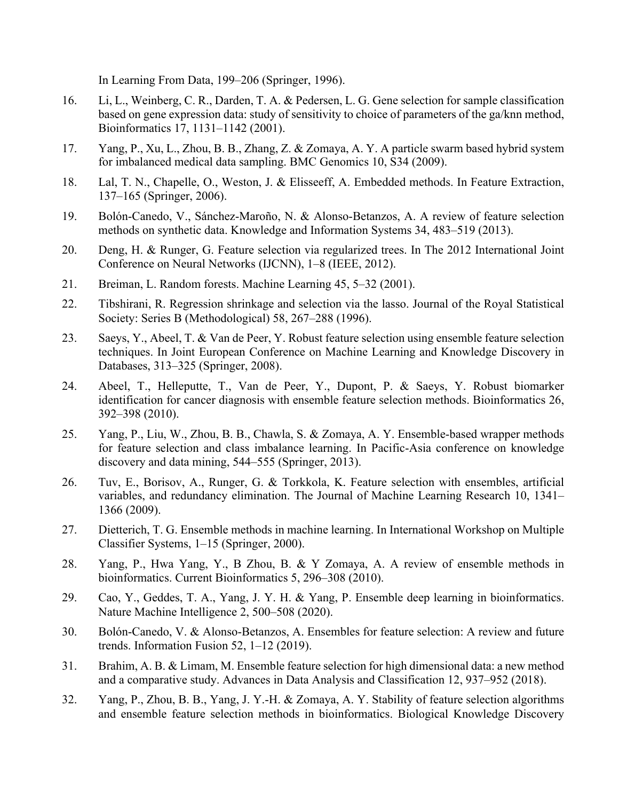In Learning From Data, 199–206 (Springer, 1996).

- 16. Li, L., Weinberg, C. R., Darden, T. A. & Pedersen, L. G. Gene selection for sample classification based on gene expression data: study of sensitivity to choice of parameters of the ga/knn method, Bioinformatics 17, 1131–1142 (2001).
- 17. Yang, P., Xu, L., Zhou, B. B., Zhang, Z. & Zomaya, A. Y. A particle swarm based hybrid system for imbalanced medical data sampling. BMC Genomics 10, S34 (2009).
- 18. Lal, T. N., Chapelle, O., Weston, J. & Elisseeff, A. Embedded methods. In Feature Extraction, 137–165 (Springer, 2006).
- 19. Bolón-Canedo, V., Sánchez-Maroño, N. & Alonso-Betanzos, A. A review of feature selection methods on synthetic data. Knowledge and Information Systems 34, 483–519 (2013).
- 20. Deng, H. & Runger, G. Feature selection via regularized trees. In The 2012 International Joint Conference on Neural Networks (IJCNN), 1–8 (IEEE, 2012).
- 21. Breiman, L. Random forests. Machine Learning 45, 5–32 (2001).
- 22. Tibshirani, R. Regression shrinkage and selection via the lasso. Journal of the Royal Statistical Society: Series B (Methodological) 58, 267–288 (1996).
- 23. Saeys, Y., Abeel, T. & Van de Peer, Y. Robust feature selection using ensemble feature selection techniques. In Joint European Conference on Machine Learning and Knowledge Discovery in Databases, 313–325 (Springer, 2008).
- 24. Abeel, T., Helleputte, T., Van de Peer, Y., Dupont, P. & Saeys, Y. Robust biomarker identification for cancer diagnosis with ensemble feature selection methods. Bioinformatics 26, 392–398 (2010).
- 25. Yang, P., Liu, W., Zhou, B. B., Chawla, S. & Zomaya, A. Y. Ensemble-based wrapper methods for feature selection and class imbalance learning. In Pacific-Asia conference on knowledge discovery and data mining, 544–555 (Springer, 2013).
- 26. Tuv, E., Borisov, A., Runger, G. & Torkkola, K. Feature selection with ensembles, artificial variables, and redundancy elimination. The Journal of Machine Learning Research 10, 1341– 1366 (2009).
- 27. Dietterich, T. G. Ensemble methods in machine learning. In International Workshop on Multiple Classifier Systems, 1–15 (Springer, 2000).
- 28. Yang, P., Hwa Yang, Y., B Zhou, B. & Y Zomaya, A. A review of ensemble methods in bioinformatics. Current Bioinformatics 5, 296–308 (2010).
- 29. Cao, Y., Geddes, T. A., Yang, J. Y. H. & Yang, P. Ensemble deep learning in bioinformatics. Nature Machine Intelligence 2, 500–508 (2020).
- 30. Bolón-Canedo, V. & Alonso-Betanzos, A. Ensembles for feature selection: A review and future trends. Information Fusion 52, 1–12 (2019).
- 31. Brahim, A. B. & Limam, M. Ensemble feature selection for high dimensional data: a new method and a comparative study. Advances in Data Analysis and Classification 12, 937–952 (2018).
- 32. Yang, P., Zhou, B. B., Yang, J. Y.-H. & Zomaya, A. Y. Stability of feature selection algorithms and ensemble feature selection methods in bioinformatics. Biological Knowledge Discovery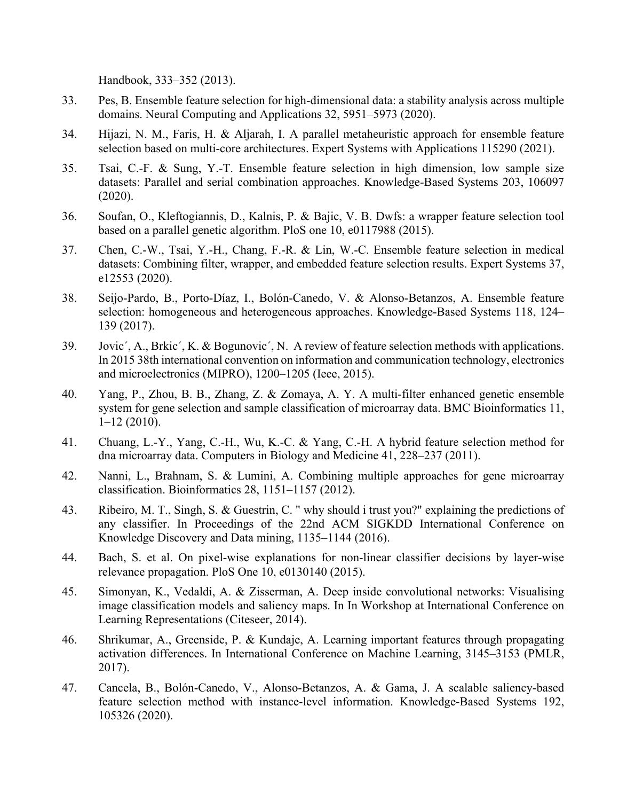Handbook, 333–352 (2013).

- 33. Pes, B. Ensemble feature selection for high-dimensional data: a stability analysis across multiple domains. Neural Computing and Applications 32, 5951–5973 (2020).
- 34. Hijazi, N. M., Faris, H. & Aljarah, I. A parallel metaheuristic approach for ensemble feature selection based on multi-core architectures. Expert Systems with Applications 115290 (2021).
- 35. Tsai, C.-F. & Sung, Y.-T. Ensemble feature selection in high dimension, low sample size datasets: Parallel and serial combination approaches. Knowledge-Based Systems 203, 106097 (2020).
- 36. Soufan, O., Kleftogiannis, D., Kalnis, P. & Bajic, V. B. Dwfs: a wrapper feature selection tool based on a parallel genetic algorithm. PloS one 10, e0117988 (2015).
- 37. Chen, C.-W., Tsai, Y.-H., Chang, F.-R. & Lin, W.-C. Ensemble feature selection in medical datasets: Combining filter, wrapper, and embedded feature selection results. Expert Systems 37, e12553 (2020).
- 38. Seijo-Pardo, B., Porto-Díaz, I., Bolón-Canedo, V. & Alonso-Betanzos, A. Ensemble feature selection: homogeneous and heterogeneous approaches. Knowledge-Based Systems 118, 124– 139 (2017).
- 39. Jovic´, A., Brkic´, K. & Bogunovic´, N. A review of feature selection methods with applications. In 2015 38th international convention on information and communication technology, electronics and microelectronics (MIPRO), 1200–1205 (Ieee, 2015).
- 40. Yang, P., Zhou, B. B., Zhang, Z. & Zomaya, A. Y. A multi-filter enhanced genetic ensemble system for gene selection and sample classification of microarray data. BMC Bioinformatics 11, 1–12 (2010).
- 41. Chuang, L.-Y., Yang, C.-H., Wu, K.-C. & Yang, C.-H. A hybrid feature selection method for dna microarray data. Computers in Biology and Medicine 41, 228–237 (2011).
- 42. Nanni, L., Brahnam, S. & Lumini, A. Combining multiple approaches for gene microarray classification. Bioinformatics 28, 1151–1157 (2012).
- 43. Ribeiro, M. T., Singh, S. & Guestrin, C. " why should i trust you?" explaining the predictions of any classifier. In Proceedings of the 22nd ACM SIGKDD International Conference on Knowledge Discovery and Data mining, 1135–1144 (2016).
- 44. Bach, S. et al. On pixel-wise explanations for non-linear classifier decisions by layer-wise relevance propagation. PloS One 10, e0130140 (2015).
- 45. Simonyan, K., Vedaldi, A. & Zisserman, A. Deep inside convolutional networks: Visualising image classification models and saliency maps. In In Workshop at International Conference on Learning Representations (Citeseer, 2014).
- 46. Shrikumar, A., Greenside, P. & Kundaje, A. Learning important features through propagating activation differences. In International Conference on Machine Learning, 3145–3153 (PMLR, 2017).
- 47. Cancela, B., Bolón-Canedo, V., Alonso-Betanzos, A. & Gama, J. A scalable saliency-based feature selection method with instance-level information. Knowledge-Based Systems 192, 105326 (2020).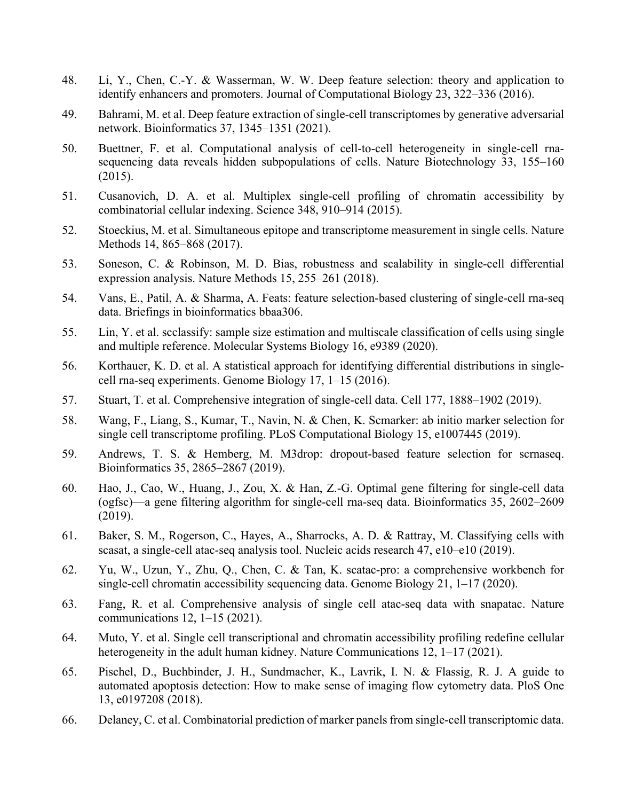- 48. Li, Y., Chen, C.-Y. & Wasserman, W. W. Deep feature selection: theory and application to identify enhancers and promoters. Journal of Computational Biology 23, 322–336 (2016).
- 49. Bahrami, M. et al. Deep feature extraction of single-cell transcriptomes by generative adversarial network. Bioinformatics 37, 1345–1351 (2021).
- 50. Buettner, F. et al. Computational analysis of cell-to-cell heterogeneity in single-cell rnasequencing data reveals hidden subpopulations of cells. Nature Biotechnology 33, 155–160 (2015).
- 51. Cusanovich, D. A. et al. Multiplex single-cell profiling of chromatin accessibility by combinatorial cellular indexing. Science 348, 910–914 (2015).
- 52. Stoeckius, M. et al. Simultaneous epitope and transcriptome measurement in single cells. Nature Methods 14, 865–868 (2017).
- 53. Soneson, C. & Robinson, M. D. Bias, robustness and scalability in single-cell differential expression analysis. Nature Methods 15, 255–261 (2018).
- 54. Vans, E., Patil, A. & Sharma, A. Feats: feature selection-based clustering of single-cell rna-seq data. Briefings in bioinformatics bbaa306.
- 55. Lin, Y. et al. scclassify: sample size estimation and multiscale classification of cells using single and multiple reference. Molecular Systems Biology 16, e9389 (2020).
- 56. Korthauer, K. D. et al. A statistical approach for identifying differential distributions in singlecell rna-seq experiments. Genome Biology 17, 1–15 (2016).
- 57. Stuart, T. et al. Comprehensive integration of single-cell data. Cell 177, 1888–1902 (2019).
- 58. Wang, F., Liang, S., Kumar, T., Navin, N. & Chen, K. Scmarker: ab initio marker selection for single cell transcriptome profiling. PLoS Computational Biology 15, e1007445 (2019).
- 59. Andrews, T. S. & Hemberg, M. M3drop: dropout-based feature selection for scrnaseq. Bioinformatics 35, 2865–2867 (2019).
- 60. Hao, J., Cao, W., Huang, J., Zou, X. & Han, Z.-G. Optimal gene filtering for single-cell data (ogfsc)—a gene filtering algorithm for single-cell rna-seq data. Bioinformatics 35, 2602–2609 (2019).
- 61. Baker, S. M., Rogerson, C., Hayes, A., Sharrocks, A. D. & Rattray, M. Classifying cells with scasat, a single-cell atac-seq analysis tool. Nucleic acids research 47, e10–e10 (2019).
- 62. Yu, W., Uzun, Y., Zhu, Q., Chen, C. & Tan, K. scatac-pro: a comprehensive workbench for single-cell chromatin accessibility sequencing data. Genome Biology 21, 1–17 (2020).
- 63. Fang, R. et al. Comprehensive analysis of single cell atac-seq data with snapatac. Nature communications 12, 1–15 (2021).
- 64. Muto, Y. et al. Single cell transcriptional and chromatin accessibility profiling redefine cellular heterogeneity in the adult human kidney. Nature Communications 12, 1–17 (2021).
- 65. Pischel, D., Buchbinder, J. H., Sundmacher, K., Lavrik, I. N. & Flassig, R. J. A guide to automated apoptosis detection: How to make sense of imaging flow cytometry data. PloS One 13, e0197208 (2018).
- 66. Delaney, C. et al. Combinatorial prediction of marker panels from single-cell transcriptomic data.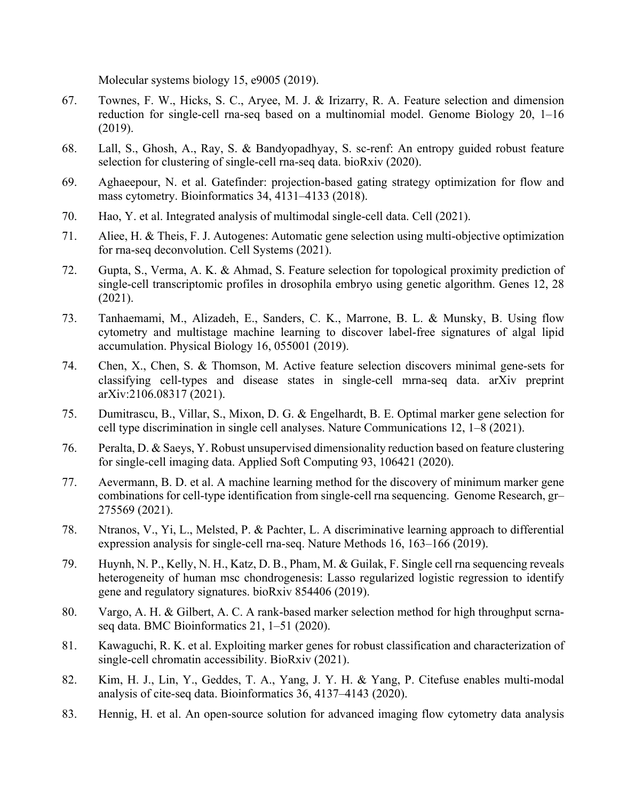Molecular systems biology 15, e9005 (2019).

- 67. Townes, F. W., Hicks, S. C., Aryee, M. J. & Irizarry, R. A. Feature selection and dimension reduction for single-cell rna-seq based on a multinomial model. Genome Biology 20, 1–16 (2019).
- 68. Lall, S., Ghosh, A., Ray, S. & Bandyopadhyay, S. sc-renf: An entropy guided robust feature selection for clustering of single-cell rna-seq data. bioRxiv (2020).
- 69. Aghaeepour, N. et al. Gatefinder: projection-based gating strategy optimization for flow and mass cytometry. Bioinformatics 34, 4131–4133 (2018).
- 70. Hao, Y. et al. Integrated analysis of multimodal single-cell data. Cell (2021).
- 71. Aliee, H. & Theis, F. J. Autogenes: Automatic gene selection using multi-objective optimization for rna-seq deconvolution. Cell Systems (2021).
- 72. Gupta, S., Verma, A. K. & Ahmad, S. Feature selection for topological proximity prediction of single-cell transcriptomic profiles in drosophila embryo using genetic algorithm. Genes 12, 28 (2021).
- 73. Tanhaemami, M., Alizadeh, E., Sanders, C. K., Marrone, B. L. & Munsky, B. Using flow cytometry and multistage machine learning to discover label-free signatures of algal lipid accumulation. Physical Biology 16, 055001 (2019).
- 74. Chen, X., Chen, S. & Thomson, M. Active feature selection discovers minimal gene-sets for classifying cell-types and disease states in single-cell mrna-seq data. arXiv preprint arXiv:2106.08317 (2021).
- 75. Dumitrascu, B., Villar, S., Mixon, D. G. & Engelhardt, B. E. Optimal marker gene selection for cell type discrimination in single cell analyses. Nature Communications 12, 1–8 (2021).
- 76. Peralta, D. & Saeys, Y. Robust unsupervised dimensionality reduction based on feature clustering for single-cell imaging data. Applied Soft Computing 93, 106421 (2020).
- 77. Aevermann, B. D. et al. A machine learning method for the discovery of minimum marker gene combinations for cell-type identification from single-cell rna sequencing. Genome Research, gr– 275569 (2021).
- 78. Ntranos, V., Yi, L., Melsted, P. & Pachter, L. A discriminative learning approach to differential expression analysis for single-cell rna-seq. Nature Methods 16, 163–166 (2019).
- 79. Huynh, N. P., Kelly, N. H., Katz, D. B., Pham, M. & Guilak, F. Single cell rna sequencing reveals heterogeneity of human msc chondrogenesis: Lasso regularized logistic regression to identify gene and regulatory signatures. bioRxiv 854406 (2019).
- 80. Vargo, A. H. & Gilbert, A. C. A rank-based marker selection method for high throughput scrnaseq data. BMC Bioinformatics 21, 1–51 (2020).
- 81. Kawaguchi, R. K. et al. Exploiting marker genes for robust classification and characterization of single-cell chromatin accessibility. BioRxiv (2021).
- 82. Kim, H. J., Lin, Y., Geddes, T. A., Yang, J. Y. H. & Yang, P. Citefuse enables multi-modal analysis of cite-seq data. Bioinformatics 36, 4137–4143 (2020).
- 83. Hennig, H. et al. An open-source solution for advanced imaging flow cytometry data analysis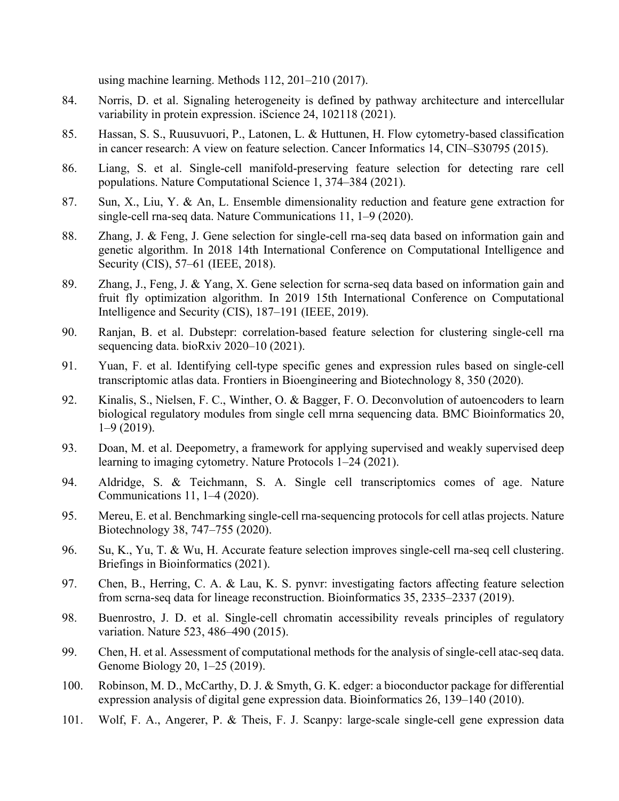using machine learning. Methods 112, 201–210 (2017).

- 84. Norris, D. et al. Signaling heterogeneity is defined by pathway architecture and intercellular variability in protein expression. iScience 24, 102118 (2021).
- 85. Hassan, S. S., Ruusuvuori, P., Latonen, L. & Huttunen, H. Flow cytometry-based classification in cancer research: A view on feature selection. Cancer Informatics 14, CIN–S30795 (2015).
- 86. Liang, S. et al. Single-cell manifold-preserving feature selection for detecting rare cell populations. Nature Computational Science 1, 374–384 (2021).
- 87. Sun, X., Liu, Y. & An, L. Ensemble dimensionality reduction and feature gene extraction for single-cell rna-seq data. Nature Communications 11, 1–9 (2020).
- 88. Zhang, J. & Feng, J. Gene selection for single-cell rna-seq data based on information gain and genetic algorithm. In 2018 14th International Conference on Computational Intelligence and Security (CIS), 57–61 (IEEE, 2018).
- 89. Zhang, J., Feng, J. & Yang, X. Gene selection for scrna-seq data based on information gain and fruit fly optimization algorithm. In 2019 15th International Conference on Computational Intelligence and Security (CIS), 187–191 (IEEE, 2019).
- 90. Ranjan, B. et al. Dubstepr: correlation-based feature selection for clustering single-cell rna sequencing data. bioRxiv 2020–10 (2021).
- 91. Yuan, F. et al. Identifying cell-type specific genes and expression rules based on single-cell transcriptomic atlas data. Frontiers in Bioengineering and Biotechnology 8, 350 (2020).
- 92. Kinalis, S., Nielsen, F. C., Winther, O. & Bagger, F. O. Deconvolution of autoencoders to learn biological regulatory modules from single cell mrna sequencing data. BMC Bioinformatics 20, 1–9 (2019).
- 93. Doan, M. et al. Deepometry, a framework for applying supervised and weakly supervised deep learning to imaging cytometry. Nature Protocols 1–24 (2021).
- 94. Aldridge, S. & Teichmann, S. A. Single cell transcriptomics comes of age. Nature Communications 11, 1–4 (2020).
- 95. Mereu, E. et al. Benchmarking single-cell rna-sequencing protocols for cell atlas projects. Nature Biotechnology 38, 747–755 (2020).
- 96. Su, K., Yu, T. & Wu, H. Accurate feature selection improves single-cell rna-seq cell clustering. Briefings in Bioinformatics (2021).
- 97. Chen, B., Herring, C. A. & Lau, K. S. pynvr: investigating factors affecting feature selection from scrna-seq data for lineage reconstruction. Bioinformatics 35, 2335–2337 (2019).
- 98. Buenrostro, J. D. et al. Single-cell chromatin accessibility reveals principles of regulatory variation. Nature 523, 486–490 (2015).
- 99. Chen, H. et al. Assessment of computational methods for the analysis of single-cell atac-seq data. Genome Biology 20, 1–25 (2019).
- 100. Robinson, M. D., McCarthy, D. J. & Smyth, G. K. edger: a bioconductor package for differential expression analysis of digital gene expression data. Bioinformatics 26, 139–140 (2010).
- 101. Wolf, F. A., Angerer, P. & Theis, F. J. Scanpy: large-scale single-cell gene expression data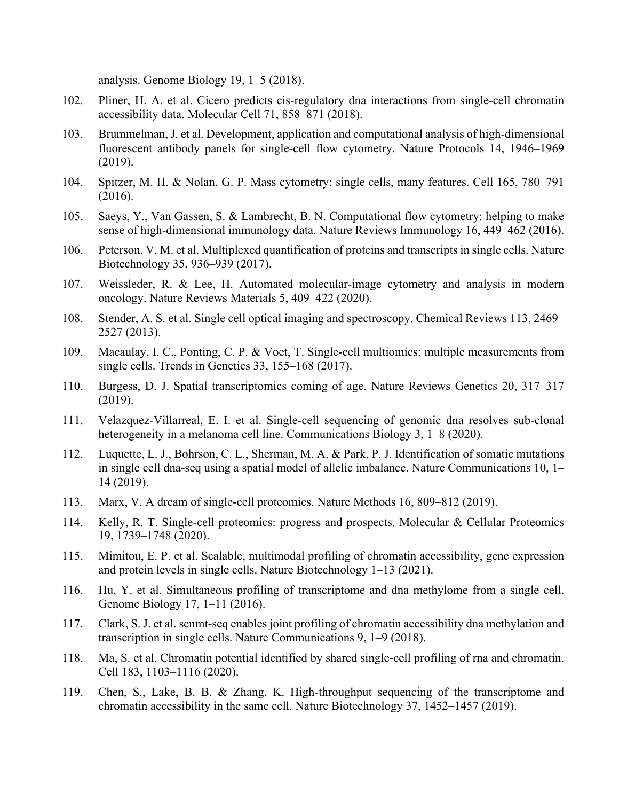analysis. Genome Biology 19, 1–5 (2018).

- 102. Pliner, H. A. et al. Cicero predicts cis-regulatory dna interactions from single-cell chromatin accessibility data. Molecular Cell 71, 858–871 (2018).
- 103. Brummelman, J. et al. Development, application and computational analysis of high-dimensional fluorescent antibody panels for single-cell flow cytometry. Nature Protocols 14, 1946–1969 (2019).
- 104. Spitzer, M. H. & Nolan, G. P. Mass cytometry: single cells, many features. Cell 165, 780–791 (2016).
- 105. Saeys, Y., Van Gassen, S. & Lambrecht, B. N. Computational flow cytometry: helping to make sense of high-dimensional immunology data. Nature Reviews Immunology 16, 449–462 (2016).
- 106. Peterson, V. M. et al. Multiplexed quantification of proteins and transcripts in single cells. Nature Biotechnology 35, 936–939 (2017).
- 107. Weissleder, R. & Lee, H. Automated molecular-image cytometry and analysis in modern oncology. Nature Reviews Materials 5, 409–422 (2020).
- 108. Stender, A. S. et al. Single cell optical imaging and spectroscopy. Chemical Reviews 113, 2469– 2527 (2013).
- 109. Macaulay, I. C., Ponting, C. P. & Voet, T. Single-cell multiomics: multiple measurements from single cells. Trends in Genetics 33, 155–168 (2017).
- 110. Burgess, D. J. Spatial transcriptomics coming of age. Nature Reviews Genetics 20, 317–317 (2019).
- 111. Velazquez-Villarreal, E. I. et al. Single-cell sequencing of genomic dna resolves sub-clonal heterogeneity in a melanoma cell line. Communications Biology 3, 1–8 (2020).
- 112. Luquette, L. J., Bohrson, C. L., Sherman, M. A. & Park, P. J. Identification of somatic mutations in single cell dna-seq using a spatial model of allelic imbalance. Nature Communications 10, 1– 14 (2019).
- 113. Marx, V. A dream of single-cell proteomics. Nature Methods 16, 809–812 (2019).
- 114. Kelly, R. T. Single-cell proteomics: progress and prospects. Molecular & Cellular Proteomics 19, 1739–1748 (2020).
- 115. Mimitou, E. P. et al. Scalable, multimodal profiling of chromatin accessibility, gene expression and protein levels in single cells. Nature Biotechnology 1–13 (2021).
- 116. Hu, Y. et al. Simultaneous profiling of transcriptome and dna methylome from a single cell. Genome Biology 17, 1–11 (2016).
- 117. Clark, S. J. et al. scnmt-seq enables joint profiling of chromatin accessibility dna methylation and transcription in single cells. Nature Communications 9, 1–9 (2018).
- 118. Ma, S. et al. Chromatin potential identified by shared single-cell profiling of rna and chromatin. Cell 183, 1103–1116 (2020).
- 119. Chen, S., Lake, B. B. & Zhang, K. High-throughput sequencing of the transcriptome and chromatin accessibility in the same cell. Nature Biotechnology 37, 1452–1457 (2019).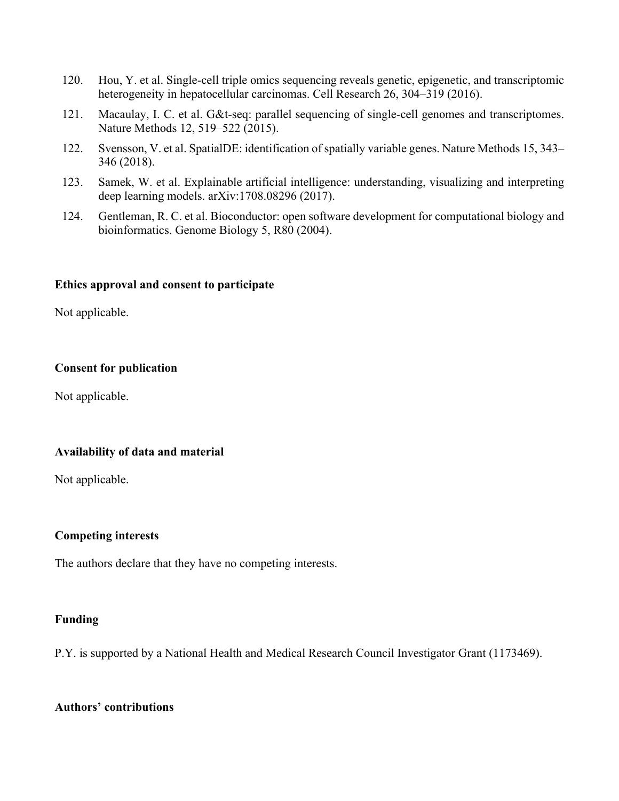- 120. Hou, Y. et al. Single-cell triple omics sequencing reveals genetic, epigenetic, and transcriptomic heterogeneity in hepatocellular carcinomas. Cell Research 26, 304–319 (2016).
- 121. Macaulay, I. C. et al. G&t-seq: parallel sequencing of single-cell genomes and transcriptomes. Nature Methods 12, 519–522 (2015).
- 122. Svensson, V. et al. SpatialDE: identification of spatially variable genes. Nature Methods 15, 343– 346 (2018).
- 123. Samek, W. et al. Explainable artificial intelligence: understanding, visualizing and interpreting deep learning models. arXiv:1708.08296 (2017).
- 124. Gentleman, R. C. et al. Bioconductor: open software development for computational biology and bioinformatics. Genome Biology 5, R80 (2004).

## **Ethics approval and consent to participate**

Not applicable.

## **Consent for publication**

Not applicable.

## **Availability of data and material**

Not applicable.

## **Competing interests**

The authors declare that they have no competing interests.

#### **Funding**

P.Y. is supported by a National Health and Medical Research Council Investigator Grant (1173469).

## **Authors' contributions**